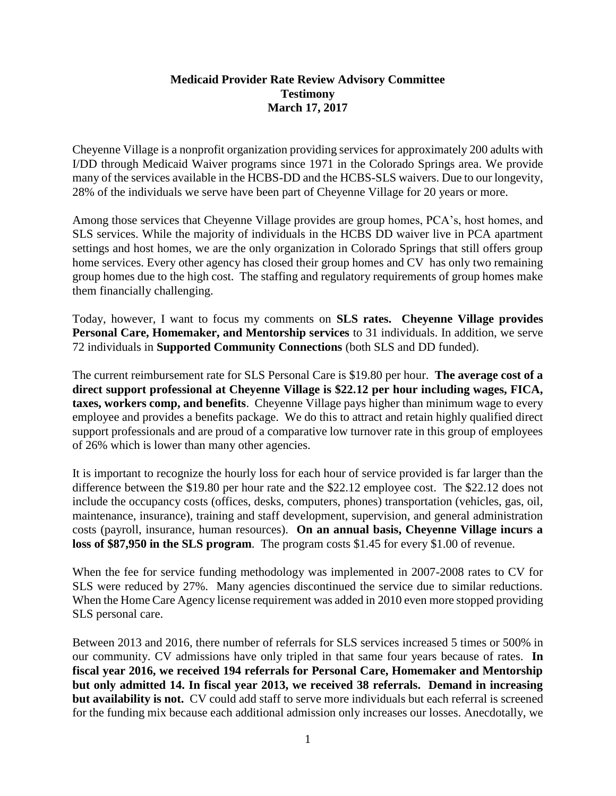## **Medicaid Provider Rate Review Advisory Committee Testimony March 17, 2017**

Cheyenne Village is a nonprofit organization providing services for approximately 200 adults with I/DD through Medicaid Waiver programs since 1971 in the Colorado Springs area. We provide many of the services available in the HCBS-DD and the HCBS-SLS waivers. Due to our longevity, 28% of the individuals we serve have been part of Cheyenne Village for 20 years or more.

Among those services that Cheyenne Village provides are group homes, PCA's, host homes, and SLS services. While the majority of individuals in the HCBS DD waiver live in PCA apartment settings and host homes, we are the only organization in Colorado Springs that still offers group home services. Every other agency has closed their group homes and CV has only two remaining group homes due to the high cost. The staffing and regulatory requirements of group homes make them financially challenging.

Today, however, I want to focus my comments on **SLS rates. Cheyenne Village provides Personal Care, Homemaker, and Mentorship services** to 31 individuals. In addition, we serve 72 individuals in **Supported Community Connections** (both SLS and DD funded).

The current reimbursement rate for SLS Personal Care is \$19.80 per hour. **The average cost of a direct support professional at Cheyenne Village is \$22.12 per hour including wages, FICA, taxes, workers comp, and benefits**. Cheyenne Village pays higher than minimum wage to every employee and provides a benefits package. We do this to attract and retain highly qualified direct support professionals and are proud of a comparative low turnover rate in this group of employees of 26% which is lower than many other agencies.

It is important to recognize the hourly loss for each hour of service provided is far larger than the difference between the \$19.80 per hour rate and the \$22.12 employee cost. The \$22.12 does not include the occupancy costs (offices, desks, computers, phones) transportation (vehicles, gas, oil, maintenance, insurance), training and staff development, supervision, and general administration costs (payroll, insurance, human resources). **On an annual basis, Cheyenne Village incurs a loss of \$87,950 in the SLS program**. The program costs \$1.45 for every \$1.00 of revenue.

When the fee for service funding methodology was implemented in 2007-2008 rates to CV for SLS were reduced by 27%. Many agencies discontinued the service due to similar reductions. When the Home Care Agency license requirement was added in 2010 even more stopped providing SLS personal care.

Between 2013 and 2016, there number of referrals for SLS services increased 5 times or 500% in our community. CV admissions have only tripled in that same four years because of rates. **In fiscal year 2016, we received 194 referrals for Personal Care, Homemaker and Mentorship but only admitted 14. In fiscal year 2013, we received 38 referrals. Demand in increasing but availability is not.** CV could add staff to serve more individuals but each referral is screened for the funding mix because each additional admission only increases our losses. Anecdotally, we